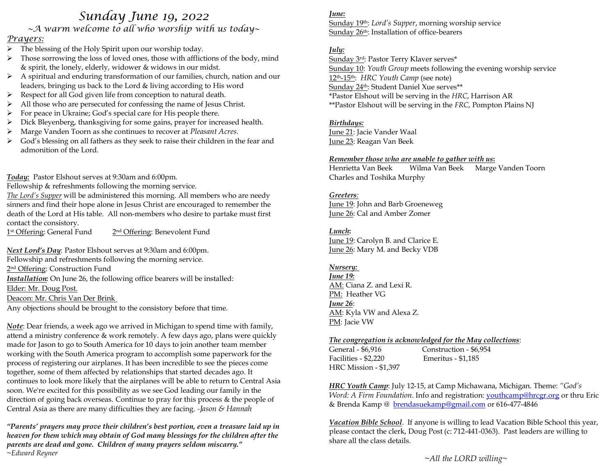# *Sunday June 19, 2022*

*~A warm welcome to all who worship with us today~* 

# *Prayers:*

- ➢ The blessing of the Holy Spirit upon our worship today.
- $\triangleright$  Those sorrowing the loss of loved ones, those with afflictions of the body, mind & spirit, the lonely, elderly, widower & widows in our midst.
- ➢ A spiritual and enduring transformation of our families, church, nation and our leaders, bringing us back to the Lord & living according to His word
- ➢ Respect for all God given life from conception to natural death.
- ➢ All those who are persecuted for confessing the name of Jesus Christ.
- ➢ For peace in Ukraine; God's special care for His people there.
- $\triangleright$  Dick Bleyenberg, thanksgiving for some gains, prayer for increased health.
- ➢ Marge Vanden Toorn as she continues to recover at *Pleasant Acres*.
- ➢ God's blessing on all fathers as they seek to raise their children in the fear and admonition of the Lord.

*Today:* Pastor Elshout serves at 9:30am and 6:00pm.

Fellowship & refreshments following the morning service.

*The Lord's Supper* will be administered this morning. All members who are needy sinners and find their hope alone in Jesus Christ are encouraged to remember the death of the Lord at His table. All non-members who desire to partake must first contact the consistory.

1st Offering: General Fund 2 2<sup>nd</sup> Offering: Benevolent Fund

*Next Lord's Day*: Pastor Elshout serves at 9:30am and 6:00pm.

Fellowship and refreshments following the morning service.

2<sup>nd</sup> Offering: Construction Fund

*Installation:* On June 26, the following office bearers will be installed:

Elder: Mr. Doug Post.

Deacon: Mr. Chris Van Der Brink

Any objections should be brought to the consistory before that time.

*Note*: Dear friends, a week ago we arrived in Michigan to spend time with family, attend a ministry conference & work remotely. A few days ago, plans were quickly made for Jason to go to South America for 10 days to join another team member working with the South America program to accomplish some paperwork for the process of registering our airplanes. It has been incredible to see the pieces come together, some of them affected by relationships that started decades ago. It continues to look more likely that the airplanes will be able to return to Central Asia soon. We're excited for this possibility as we see God leading our family in the direction of going back overseas. Continue to pray for this process & the people of Central Asia as there are many difficulties they are facing. *-Jason & Hannah*

*"Parents' prayers may prove their children's best portion, even a treasure laid up in heaven for them which may obtain of God many blessings for the children after the parents are dead and gone. Children of many prayers seldom miscarry." ~Edward Reyner*

#### *June:*

Sunday 19th: *Lord's Supper*, morning worship service Sunday 26th: Installation of office-bearers

#### *July:*

Sunday 3rd: Pastor Terry Klaver serves\* Sunday 10: *Youth Group* meets following the evening worship service 12th-15th: *HRC Youth Camp* (see note) Sunday 24th: Student Daniel Xue serves\*\* \*Pastor Elshout will be serving in the *HRC*, Harrison AR \*\*Pastor Elshout will be serving in the *FRC*, Pompton Plains NJ

# *Birthdays:*

June 21: Jacie Vander Waal June 23: Reagan Van Beek

#### *Remember those who are unable to gather with us***:**

Henrietta Van Beek Wilma Van Beek Marge Vanden Toorn Charles and Toshika Murphy

#### *Greeters:*

June 19: John and Barb Groeneweg June 26: Cal and Amber Zomer

# *Lunch***:**

June 19: Carolyn B. and Clarice E. June 26: Mary M. and Becky VDB

# *Nursery:*

*June 19:* AM: Ciana Z. and Lexi R. PM: Heather VG *June 26*: AM: Kyla VW and Alexa Z. PM: Jacie VW

#### *The congregation is acknowledged for the May collections*:

General - \$6,916 Construction - \$6,954 Facilities - \$2,220 Emeritus - \$1,185 HRC Mission - \$1,397

*HRC Youth Camp*: July 12-15, at Camp Michawana, Michigan. Theme: *"God's Word: A Firm Foundation*. Info and registration: *youthcamp@hrcgr.org* or thru Eric & Brenda Kamp @ [brendasuekamp@gmail.com](mailto:brendasuekamp@gmail.com) or 616-477-4846

*Vacation Bible School*. If anyone is willing to lead Vacation Bible School this year, please contact the clerk, Doug Post (c: 712-441-0363). Past leaders are willing to share all the class details.